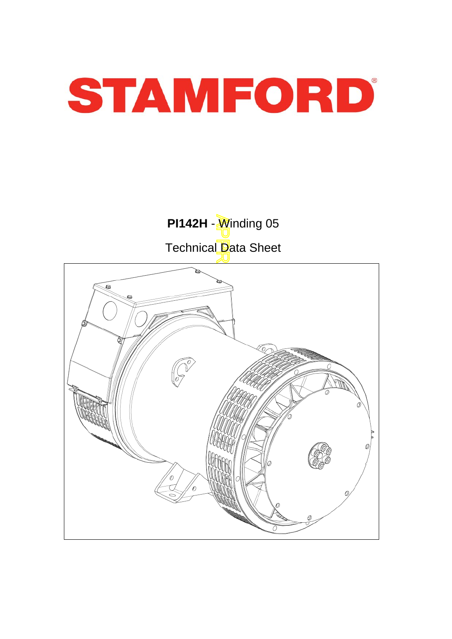

**PI142H** - *Winding 05* Technical Data Sheet

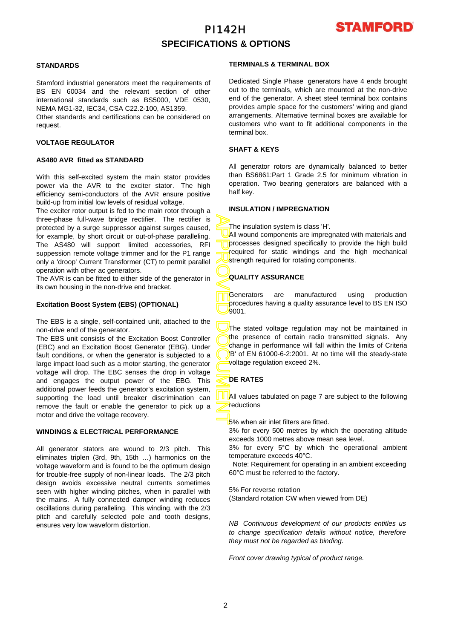# PI142H **SPECIFICATIONS & OPTIONS**



### **STANDARDS**

Stamford industrial generators meet the requirements o f BS EN 60034 and the relevant section of other international standards such as BS5000, VDE 0530, NEMA MG1-32, IEC34, CSA C22.2-100, AS1359.

Other standards and certifications can be considered on request.

### **VOLTAGE REGULATOR**

#### **AS480 AVR fitted as STANDARD**

With this self-excited system the main stator provides power via the AVR to the exciter stator. The high efficiency semi-conductors of the AVR ensure positive build-up from initial low levels of residual voltage.

The exciter rotor output is fed to the main rotor through a three-phase full-wave bridge rectifier. The rectifier is protected by a surge suppressor against surges caused, for example, by short circuit or out-of-phase paralleling. The AS480 will support limited accessories, RFI suppession remote voltage trimmer and for the P1 range only a 'droop' Current Transformer (CT) to permit parallel operation with other ac generators.

The AVR is can be fitted to either side of the generator in its own housing in the non-drive end bracket.

### **Excitation Boost System (EBS) (OPTIONAL)**

The EBS is a single, self-contained unit, attached to the non-drive end of the generator.

The EBS unit consists of the Excitation Boost Controller (EBC) and an Excitation Boost Generator (EBG). Unde r fault conditions, or when the generator is subjected to a large impact load such as a motor starting, the generator voltage will drop. The EBC senses the drop in voltage and engages the output power of the EBG. This additional power feeds the generator's excitation system, supporting the load until breaker discrimination can remove the fault or enable the generator to pick up a motor and drive the voltage recovery.

#### **WINDINGS & ELECTRICAL PERFORMANCE**

All generator stators are wound to 2/3 pitch. This eliminates triplen (3rd, 9th, 15th …) harmonics on the voltage waveform and is found to be the optimum design for trouble-free supply of non-linear loads. The 2/3 pitch design avoids excessive neutral currents sometimes seen with higher winding pitches, when in parallel with the mains. A fully connected damper winding reduces oscillations during paralleling. This winding, with the 2/3 pitch and carefully selected pole and tooth designs, ensures very low waveform distortion.

#### **TERMINALS & TERMINAL BOX**

Dedicated Single Phase generators have 4 ends brought out to the terminals, which are mounted at the non-drive end of the generator. A sheet steel terminal box contains provides ample space for the customers' wiring and gland arrangements. Alternative terminal boxes are available fo r customers who want to fit additional components in the terminal box.

### **SHAFT & KEYS**

All generator rotors are dynamically balanced to better than BS6861:Part 1 Grade 2.5 for minimum vibration in operation. Two bearing generators are balanced with a half key.

#### **INSULATION / IMPREGNATION**

The insulation system is class 'H'.

All wound components are impregnated with materials and processes designed specifically to provide the high build required for static windings and the high mechanical strength required for rotating components.

### **QUALITY ASSURANCE**

Generators are manufactured using production procedures having a quality assurance level to BS EN ISO 9001.

APPROVED DOCUMENT The stated voltage regulation may not be maintained in the presence of certain radio transmitted signals. Any change in performance will fall within the limits of Criteria B' of EN 61000-6-2:2001. At no time will the steady-state voltage regulation exceed 2%.

### **DE RATES**

All values tabulated on page 7 are subiect to the following reductions

**5%** when air inlet filters are fitted.

3% for every 500 metres by which the operating altitude exceeds 1000 metres above mean sea level.

3% for every 5°C by which the operational ambient temperature exceeds 40°C.

 Note: Requirement for operating in an ambient exceeding 60°C must be referred to the factory.

5% For reverse rotation

(Standard rotation CW when viewed from DE)

*NB Continuous development of our products entitles us to change specification details without notice, therefore they must not be regarded as binding.* 

*Front cover drawing typical of product range.*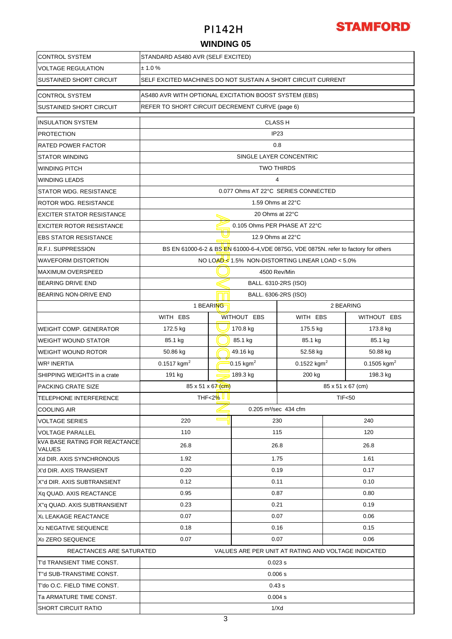

### **WINDING 05**

| <b>CONTROL SYSTEM</b>                                 | STANDARD AS480 AVR (SELF EXCITED)               |                                                                                                                       |                              |                                                                                      |           |                         |  |  |  |  |  |
|-------------------------------------------------------|-------------------------------------------------|-----------------------------------------------------------------------------------------------------------------------|------------------------------|--------------------------------------------------------------------------------------|-----------|-------------------------|--|--|--|--|--|
| <b>VOLTAGE REGULATION</b>                             | ± 1.0%                                          |                                                                                                                       |                              |                                                                                      |           |                         |  |  |  |  |  |
| <b>SUSTAINED SHORT CIRCUIT</b>                        |                                                 | SELF EXCITED MACHINES DO NOT SUSTAIN A SHORT CIRCUIT CURRENT<br>AS480 AVR WITH OPTIONAL EXCITATION BOOST SYSTEM (EBS) |                              |                                                                                      |           |                         |  |  |  |  |  |
| <b>CONTROL SYSTEM</b>                                 |                                                 |                                                                                                                       |                              |                                                                                      |           |                         |  |  |  |  |  |
| <b>SUSTAINED SHORT CIRCUIT</b>                        | REFER TO SHORT CIRCUIT DECREMENT CURVE (page 6) |                                                                                                                       |                              |                                                                                      |           |                         |  |  |  |  |  |
| <b>INSULATION SYSTEM</b>                              |                                                 |                                                                                                                       | <b>CLASS H</b>               |                                                                                      |           |                         |  |  |  |  |  |
| <b>PROTECTION</b>                                     | IP <sub>23</sub>                                |                                                                                                                       |                              |                                                                                      |           |                         |  |  |  |  |  |
| <b>RATED POWER FACTOR</b>                             | 0.8                                             |                                                                                                                       |                              |                                                                                      |           |                         |  |  |  |  |  |
| <b>STATOR WINDING</b>                                 | SINGLE LAYER CONCENTRIC                         |                                                                                                                       |                              |                                                                                      |           |                         |  |  |  |  |  |
| <b>WINDING PITCH</b>                                  | <b>TWO THIRDS</b>                               |                                                                                                                       |                              |                                                                                      |           |                         |  |  |  |  |  |
| <b>WINDING LEADS</b>                                  | 4                                               |                                                                                                                       |                              |                                                                                      |           |                         |  |  |  |  |  |
| <b>STATOR WDG. RESISTANCE</b>                         |                                                 |                                                                                                                       |                              | 0.077 Ohms AT 22°C SERIES CONNECTED                                                  |           |                         |  |  |  |  |  |
| ROTOR WDG. RESISTANCE                                 |                                                 |                                                                                                                       | 1.59 Ohms at 22°C            |                                                                                      |           |                         |  |  |  |  |  |
| <b>EXCITER STATOR RESISTANCE</b>                      |                                                 |                                                                                                                       | 20 Ohms at 22°C              |                                                                                      |           |                         |  |  |  |  |  |
| <b>EXCITER ROTOR RESISTANCE</b>                       |                                                 |                                                                                                                       | 0.105 Ohms PER PHASE AT 22°C |                                                                                      |           |                         |  |  |  |  |  |
| <b>EBS STATOR RESISTANCE</b>                          |                                                 |                                                                                                                       | 12.9 Ohms at 22°C            |                                                                                      |           |                         |  |  |  |  |  |
| <b>R.F.I. SUPPRESSION</b>                             |                                                 |                                                                                                                       |                              | BS EN 61000-6-2 & BS EN 61000-6-4, VDE 0875G, VDE 0875N, refer to factory for others |           |                         |  |  |  |  |  |
| <b>WAVEFORM DISTORTION</b>                            |                                                 |                                                                                                                       |                              | NO LOAD 1.5% NON-DISTORTING LINEAR LOAD < 5.0%                                       |           |                         |  |  |  |  |  |
| <b>MAXIMUM OVERSPEED</b>                              |                                                 |                                                                                                                       | 4500 Rev/Min                 |                                                                                      |           |                         |  |  |  |  |  |
| <b>BEARING DRIVE END</b>                              |                                                 |                                                                                                                       | BALL. 6310-2RS (ISO)         |                                                                                      |           |                         |  |  |  |  |  |
| BEARING NON-DRIVE END                                 |                                                 |                                                                                                                       | BALL. 6306-2RS (ISO)         |                                                                                      |           |                         |  |  |  |  |  |
|                                                       | 1 BEARING                                       |                                                                                                                       |                              |                                                                                      | 2 BEARING |                         |  |  |  |  |  |
|                                                       | WITH EBS                                        |                                                                                                                       | WITHOUT EBS                  | WITH EBS                                                                             |           | WITHOUT EBS             |  |  |  |  |  |
| <b>WEIGHT COMP. GENERATOR</b>                         | 172.5 kg                                        |                                                                                                                       | 170.8 kg                     | 175.5 kg                                                                             |           | 173.8 kg                |  |  |  |  |  |
| <b>WEIGHT WOUND STATOR</b>                            | 85.1 kg                                         |                                                                                                                       | 85.1 kg<br>85.1 kg           |                                                                                      |           | 85.1 kg                 |  |  |  |  |  |
| <b>WEIGHT WOUND ROTOR</b>                             | 50.86 kg                                        |                                                                                                                       | 49.16 kg<br>52.58 kg         |                                                                                      | 50.88 kg  |                         |  |  |  |  |  |
| <b>WR<sup>2</sup> INERTIA</b>                         | $0.1517$ kgm <sup>2</sup>                       |                                                                                                                       | $0.15$ kgm <sup>2</sup>      | $0.1522$ kgm <sup>2</sup>                                                            |           | 0.1505 kgm <sup>2</sup> |  |  |  |  |  |
| SHIPPING WEIGHTS in a crate                           | 189.3 kg<br>191 kg<br>200 kg                    |                                                                                                                       |                              |                                                                                      |           | 198.3 kg                |  |  |  |  |  |
| <b>PACKING CRATE SIZE</b>                             | 85 x 51 x 67 (cm)<br>85 x 51 x 67 (cm)          |                                                                                                                       |                              |                                                                                      |           |                         |  |  |  |  |  |
| TELEPHONE INTERFERENCE                                |                                                 | THF<2% U<br><b>TIF&lt;50</b>                                                                                          |                              |                                                                                      |           |                         |  |  |  |  |  |
| <b>COOLING AIR</b>                                    | 0.205 m <sup>3</sup> /sec 434 cfm               |                                                                                                                       |                              |                                                                                      |           |                         |  |  |  |  |  |
| <b>VOLTAGE SERIES</b>                                 | 220                                             |                                                                                                                       | 230                          |                                                                                      |           | 240                     |  |  |  |  |  |
| <b>VOLTAGE PARALLEL</b>                               | 110                                             |                                                                                                                       | 115                          |                                                                                      | 120       |                         |  |  |  |  |  |
| <b>KVA BASE RATING FOR REACTANCE</b><br><b>VALUES</b> | 26.8                                            |                                                                                                                       | 26.8                         |                                                                                      | 26.8      |                         |  |  |  |  |  |
| Xd DIR. AXIS SYNCHRONOUS                              | 1.92                                            |                                                                                                                       | 1.75                         |                                                                                      | 1.61      |                         |  |  |  |  |  |
| X'd DIR. AXIS TRANSIENT                               | 0.20                                            |                                                                                                                       | 0.19                         |                                                                                      | 0.17      |                         |  |  |  |  |  |
| X"d DIR. AXIS SUBTRANSIENT                            | 0.12                                            |                                                                                                                       | 0.11                         |                                                                                      | 0.10      |                         |  |  |  |  |  |
| Xq QUAD. AXIS REACTANCE                               | 0.95                                            |                                                                                                                       | 0.87                         |                                                                                      | 0.80      |                         |  |  |  |  |  |
| X"q QUAD. AXIS SUBTRANSIENT                           | 0.23                                            |                                                                                                                       | 0.21                         |                                                                                      | 0.19      |                         |  |  |  |  |  |
| XL LEAKAGE REACTANCE                                  | 0.07                                            |                                                                                                                       | 0.07                         |                                                                                      | 0.06      |                         |  |  |  |  |  |
| X <sub>2</sub> NEGATIVE SEQUENCE                      | 0.18                                            |                                                                                                                       | 0.16                         |                                                                                      | 0.15      |                         |  |  |  |  |  |
| X <sub>0</sub> ZERO SEQUENCE                          | 0.07<br>0.07<br>0.06                            |                                                                                                                       |                              |                                                                                      |           |                         |  |  |  |  |  |
| REACTANCES ARE SATURATED                              |                                                 |                                                                                                                       |                              | VALUES ARE PER UNIT AT RATING AND VOLTAGE INDICATED                                  |           |                         |  |  |  |  |  |
| T'd TRANSIENT TIME CONST.                             | 0.023 s                                         |                                                                                                                       |                              |                                                                                      |           |                         |  |  |  |  |  |
| T"d SUB-TRANSTIME CONST.                              |                                                 |                                                                                                                       | 0.006 s                      |                                                                                      |           |                         |  |  |  |  |  |
| T'do O.C. FIELD TIME CONST.                           | 0.43 s                                          |                                                                                                                       |                              |                                                                                      |           |                         |  |  |  |  |  |
| Ta ARMATURE TIME CONST.                               |                                                 |                                                                                                                       | 0.004 s                      |                                                                                      |           |                         |  |  |  |  |  |
| <b>SHORT CIRCUIT RATIO</b>                            | 1/Xd                                            |                                                                                                                       |                              |                                                                                      |           |                         |  |  |  |  |  |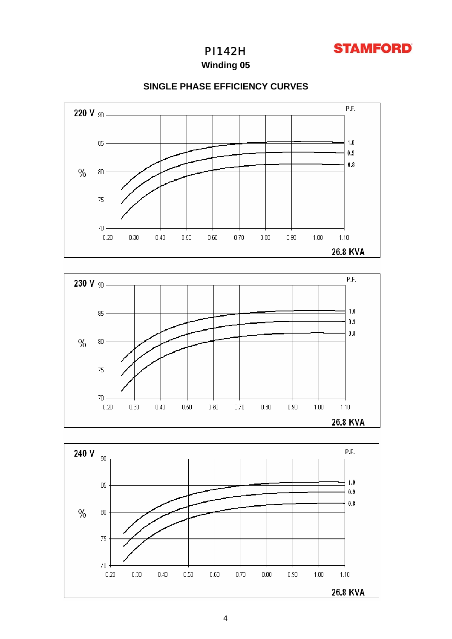

**Winding 05**



80

 $75$ 

 $70<sub>1</sub>$ 

 $0.20$ 

 $0.40$ 

 $0.50$ 

 $0.60\,$ 

 $0.70$ 

 $0.30$ 

### **SINGLE PHASE EFFICIENCY CURVES**



 $0.90\,$ 

 $1.00$ 

 $1.10$ 26.8 KVA

 $0.80$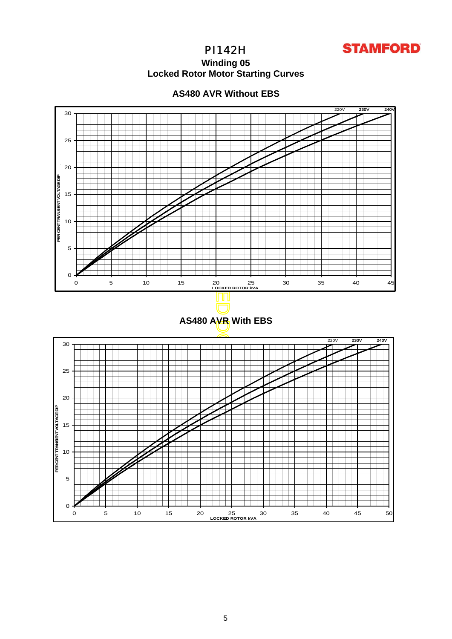

### **Winding 05 Locked Rotor Motor Startin g Curves**



### **AS480 AVR Without EBS**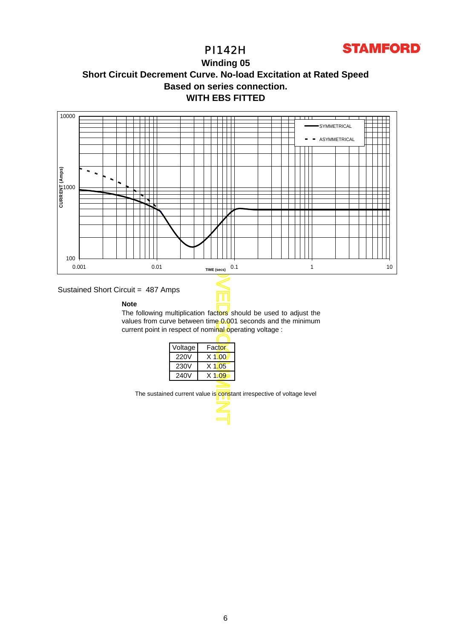

### **WITH EBS FITTED Winding 05 Short Circuit Decrement Curve. No-load Excitation at Rated Speed Based on series connection.**



### Sustained Short Circuit = 487 Amps

#### **Note**

The following multiplication factors should be used to adjust the values from curve between time 0.001 seconds and the minimum current point in respect of nominal operating voltage :

Τ

| Voltage | Factor   |
|---------|----------|
| 220V    | $X$ 1\00 |
| 230V    | $X$ 1.05 |
| 240V    | $X$ 1.09 |
|         |          |

The sustained current value is constant irrespective of voltage level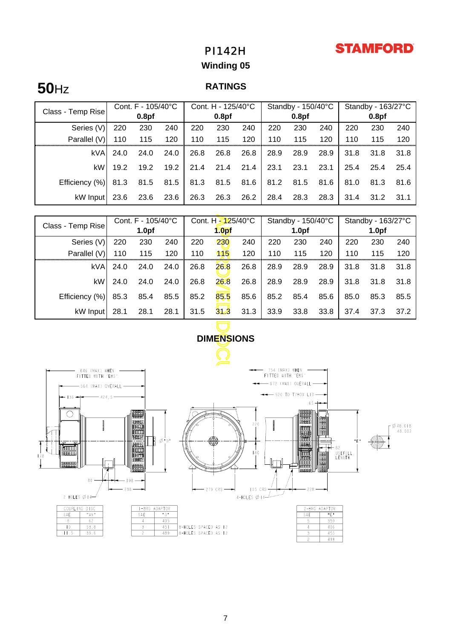# **STAMFORD**

# PI142H

## **Winding 05**

# **50**Hz **RATINGS**

| Class - Temp Rise | Cont. $F - 105/40^{\circ}C$ |                   |      | Cont. H - 125/40°C |                   |      | Standby - 150/40°C |                   |      | Standby - 163/27°C |                   |      |
|-------------------|-----------------------------|-------------------|------|--------------------|-------------------|------|--------------------|-------------------|------|--------------------|-------------------|------|
|                   |                             | 0.8 <sub>pf</sub> |      |                    | 0.8 <sub>pf</sub> |      |                    | 0.8 <sub>pf</sub> |      |                    | 0.8 <sub>pf</sub> |      |
| Series (V)        | 220                         | 230               | 240  | 220                | 230               | 240  | 220                | 230               | 240  | 220                | 230               | 240  |
| Parallel (V)      | 110                         | 115               | 120  | 110                | 115               | 120  | 110                | 115               | 120  | 110                | 115               | 120  |
| kVA               | 24.0                        | 24.0              | 24.0 | 26.8               | 26.8              | 26.8 | 28.9               | 28.9              | 28.9 | 31.8               | 31.8              | 31.8 |
| kW                | 19.2                        | 19.2              | 19.2 | 21.4               | 21.4              | 21.4 | 23.1               | 23.1              | 23.1 | 25.4               | 25.4              | 25.4 |
| Efficiency (%)    | 81.3                        | 81.5              | 81.5 | 81.3               | 81.5              | 81.6 | 81.2               | 81.5              | 81.6 | 81.0               | 81.3              | 81.6 |
| kW Input          | 23.6                        | 23.6              | 23.6 | 26.3               | 26.3              | 26.2 | 28.4               | 28.3              | 28.3 | 31.4               | 31.2              | 31.1 |

|                                                                                             | Cont. F - 105/40°C |                        |      | Cont. H 325/40°C |                   |      | Standby - 150/40°C |                                                   |      | Standby - 163/27°C |      |      |
|---------------------------------------------------------------------------------------------|--------------------|------------------------|------|------------------|-------------------|------|--------------------|---------------------------------------------------|------|--------------------|------|------|
| Class - Temp Rise                                                                           |                    | 1.0 <sub>pf</sub>      |      |                  | 1.0 <sub>pf</sub> |      | 1.0 <sub>pf</sub>  |                                                   |      | 1.0 <sub>pf</sub>  |      |      |
| Series (V)                                                                                  | 220                | 230                    | 240  | 220              | 230               | 240  | 220                | 230                                               | 240  | 220                | 230  | 240  |
| Parallel (V)                                                                                | 110                | 115                    | 120  | 110              | 115               | 120  | 110                | 115                                               | 120  | 110                | 115  | 120  |
| kVA                                                                                         | 24.0               | 24.0                   | 24.0 | 26.8             | 26.8              | 26.8 | 28.9               | 28.9                                              | 28.9 | 31.8               | 31.8 | 31.8 |
| kW                                                                                          | 24.0               | 24.0                   | 24.0 | 26.8             | 26.8              | 26.8 | 28.9               | 28.9                                              | 28.9 | 31.8               | 31.8 | 31.8 |
| Efficiency (%)                                                                              | 85.3               | 85.4                   | 85.5 | 85.2             | 85.5              | 85.6 | 85.2               | 85.4                                              | 85.6 | 85.0               | 85.3 | 85.5 |
| kW Input                                                                                    | 28.1               | 28.1                   | 28.1 | 31.5             | 313               | 31.3 | 33.9               | 33.8                                              | 33.8 | 37.4               | 37.3 | 37.2 |
|                                                                                             |                    |                        |      |                  |                   |      |                    |                                                   |      |                    |      |      |
|                                                                                             | <b>DIMENSIONS</b>  |                        |      |                  |                   |      |                    |                                                   |      |                    |      |      |
|                                                                                             |                    |                        |      |                  |                   |      |                    |                                                   |      |                    |      |      |
| 754 (MAX) WHEN<br>(MAX) WHEN                                                                |                    |                        |      |                  |                   |      |                    |                                                   |      |                    |      |      |
| FITTED WITH 'EBS'<br>FITTED WITH 'EBS'<br>$-$ 672 (MAX) OVERALL $-$<br>-564 (MAX) OVERALL - |                    |                        |      |                  |                   |      |                    |                                                   |      |                    |      |      |
| $\rightarrow$ 520 TO T/BOX LID $\rightarrow$<br>ਿ—⊢  36<br>424.5                            |                    |                        |      |                  |                   |      |                    |                                                   |      |                    |      |      |
| $65 +$                                                                                      |                    |                        |      |                  |                   |      |                    |                                                   |      |                    |      |      |
|                                                                                             |                    | <b>III</b> BERBERGO II |      |                  |                   | 220  |                    | 0888800      1648881  <br>   0888800       164881 |      |                    |      |      |